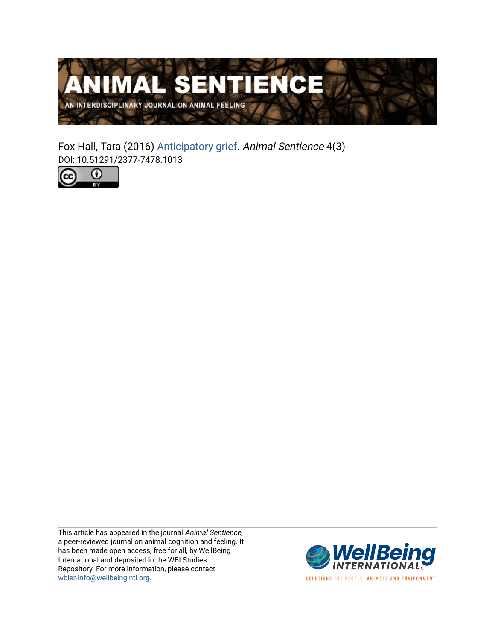

Fox Hall, Tara (2016) [Anticipatory grief](https://www.wellbeingintlstudiesrepository.org/animsent/vol1/iss4/3). Animal Sentience 4(3) DOI: 10.51291/2377-7478.1013



This article has appeared in the journal Animal Sentience, a peer-reviewed journal on animal cognition and feeling. It has been made open access, free for all, by WellBeing International and deposited in the WBI Studies Repository. For more information, please contact [wbisr-info@wellbeingintl.org](mailto:wbisr-info@wellbeingintl.org).



SOLUTIONS FOR PEOPLE, ANIMALS AND ENVIRONMENT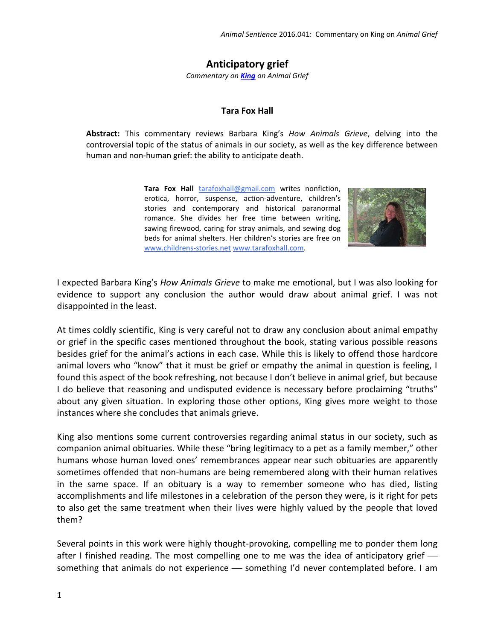**Anticipatory grief**

*Commentary on [King](http://animalstudiesrepository.org/animsent/vol1/iss4/1/) on Animal Grief*

## **Tara Fox Hall**

**Abstract:** This commentary reviews Barbara King's *How Animals Grieve*, delving into the controversial topic of the status of animals in our society, as well as the key difference between human and non-human grief: the ability to anticipate death.

> **Tara Fox Hall** [tarafoxhall@gmail.com](mailto:tarafoxhall@gmail.com) writes nonfiction, erotica, horror, suspense, action-adventure, children's stories and contemporary and historical paranormal romance. She divides her free time between writing, sawing firewood, caring for stray animals, and sewing dog beds for animal shelters. Her children's stories are free on [www.childrens-stories.net](http://www.childrens-stories.net/) [www.tarafoxhall.com.](http://www.tarafoxhall.com/)



I expected Barbara King's *How Animals Grieve* to make me emotional, but I was also looking for evidence to support any conclusion the author would draw about animal grief. I was not disappointed in the least.

At times coldly scientific, King is very careful not to draw any conclusion about animal empathy or grief in the specific cases mentioned throughout the book, stating various possible reasons besides grief for the animal's actions in each case. While this is likely to offend those hardcore animal lovers who "know" that it must be grief or empathy the animal in question is feeling, I found this aspect of the book refreshing, not because I don't believe in animal grief, but because I do believe that reasoning and undisputed evidence is necessary before proclaiming "truths" about any given situation. In exploring those other options, King gives more weight to those instances where she concludes that animals grieve.

King also mentions some current controversies regarding animal status in our society, such as companion animal obituaries. While these "bring legitimacy to a pet as a family member," other humans whose human loved ones' remembrances appear near such obituaries are apparently sometimes offended that non-humans are being remembered along with their human relatives in the same space. If an obituary is a way to remember someone who has died, listing accomplishments and life milestones in a celebration of the person they were, is it right for pets to also get the same treatment when their lives were highly valued by the people that loved them?

Several points in this work were highly thought-provoking, compelling me to ponder them long after I finished reading. The most compelling one to me was the idea of anticipatory grief something that animals do not experience - something I'd never contemplated before. I am